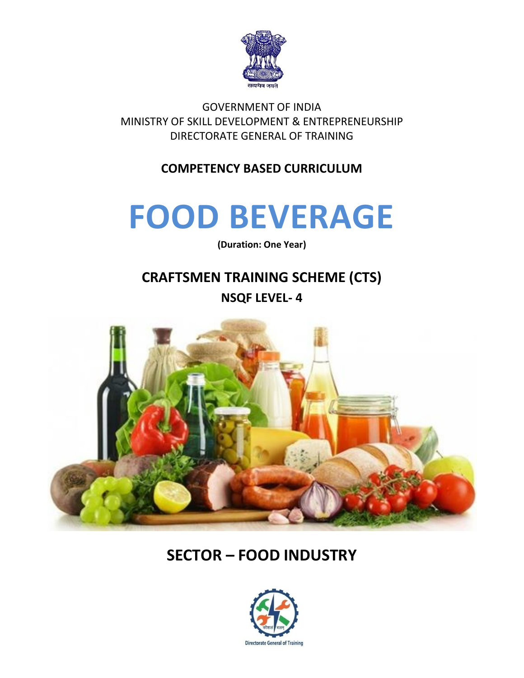

GOVERNMENT OF INDIA MINISTRY OF SKILL DEVELOPMENT & ENTREPRENEURSHIP DIRECTORATE GENERAL OF TRAINING

**COMPETENCY BASED CURRICULUM**

# **FOOD BEVERAGE**

**(Duration: One Year)**

## **CRAFTSMEN TRAINING SCHEME (CTS) NSQF LEVEL- 4**



## **SECTOR – FOOD INDUSTRY**

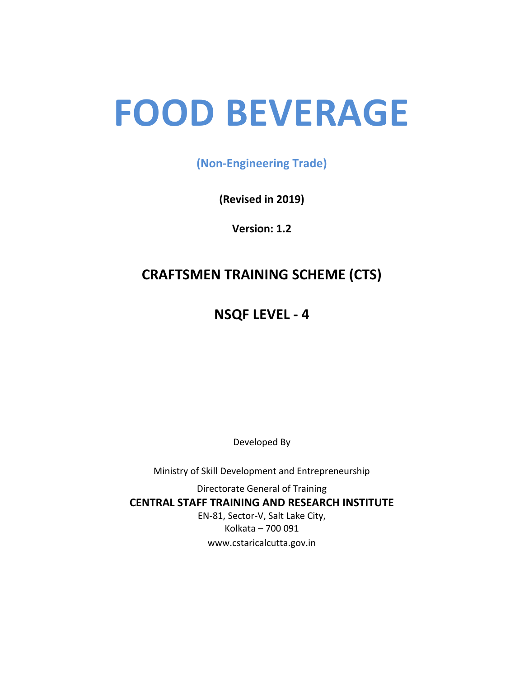# **FOOD BEVERAGE**

**(Non-Engineering Trade)**

**(Revised in 2019)**

**Version: 1.2**

## **CRAFTSMEN TRAINING SCHEME (CTS)**

**NSQF LEVEL - 4**

Developed By

Ministry of Skill Development and Entrepreneurship

Directorate General of Training **CENTRAL STAFF TRAINING AND RESEARCH INSTITUTE** EN-81, Sector-V, Salt Lake City, Kolkata – 700 091 www.cstaricalcutta.gov.in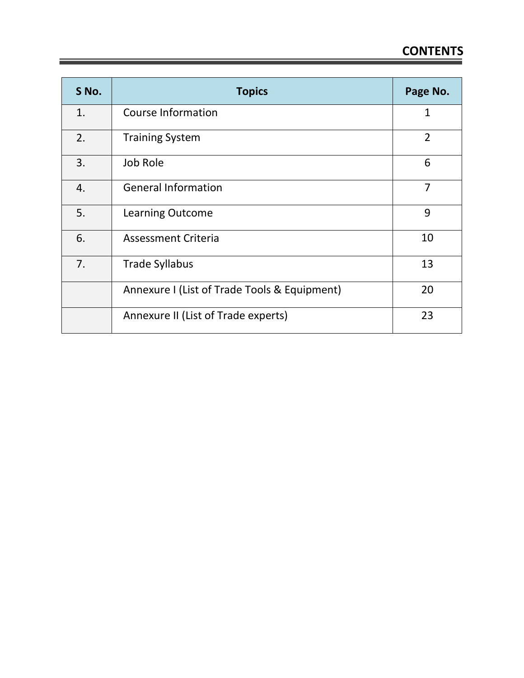| S No. | <b>Topics</b>                                | Page No.       |
|-------|----------------------------------------------|----------------|
| 1.    | Course Information                           | $\mathbf{1}$   |
| 2.    | <b>Training System</b>                       | $\overline{2}$ |
| 3.    | Job Role                                     | 6              |
| 4.    | <b>General Information</b>                   | $\overline{7}$ |
| 5.    | <b>Learning Outcome</b>                      | 9              |
| 6.    | <b>Assessment Criteria</b>                   | 10             |
| 7.    | <b>Trade Syllabus</b>                        | 13             |
|       | Annexure I (List of Trade Tools & Equipment) | 20             |
|       | Annexure II (List of Trade experts)          | 23             |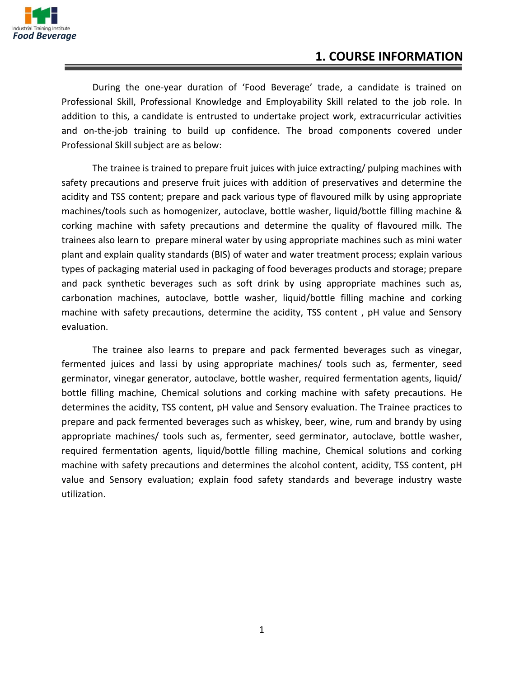

### **1. COURSE INFORMATION**

During the one-year duration of 'Food Beverage' trade, a candidate is trained on Professional Skill, Professional Knowledge and Employability Skill related to the job role. In addition to this, a candidate is entrusted to undertake project work, extracurricular activities and on-the-job training to build up confidence. The broad components covered under Professional Skill subject are as below:

The trainee is trained to prepare fruit juices with juice extracting/ pulping machines with safety precautions and preserve fruit juices with addition of preservatives and determine the acidity and TSS content; prepare and pack various type of flavoured milk by using appropriate machines/tools such as homogenizer, autoclave, bottle washer, liquid/bottle filling machine & corking machine with safety precautions and determine the quality of flavoured milk. The trainees also learn to prepare mineral water by using appropriate machines such as mini water plant and explain quality standards (BIS) of water and water treatment process; explain various types of packaging material used in packaging of food beverages products and storage; prepare and pack synthetic beverages such as soft drink by using appropriate machines such as, carbonation machines, autoclave, bottle washer, liquid/bottle filling machine and corking machine with safety precautions, determine the acidity, TSS content , pH value and Sensory evaluation.

The trainee also learns to prepare and pack fermented beverages such as vinegar, fermented juices and lassi by using appropriate machines/ tools such as, fermenter, seed germinator, vinegar generator, autoclave, bottle washer, required fermentation agents, liquid/ bottle filling machine, Chemical solutions and corking machine with safety precautions. He determines the acidity, TSS content, pH value and Sensory evaluation. The Trainee practices to prepare and pack fermented beverages such as whiskey, beer, wine, rum and brandy by using appropriate machines/ tools such as, fermenter, seed germinator, autoclave, bottle washer, required fermentation agents, liquid/bottle filling machine, Chemical solutions and corking machine with safety precautions and determines the alcohol content, acidity, TSS content, pH value and Sensory evaluation; explain food safety standards and beverage industry waste utilization.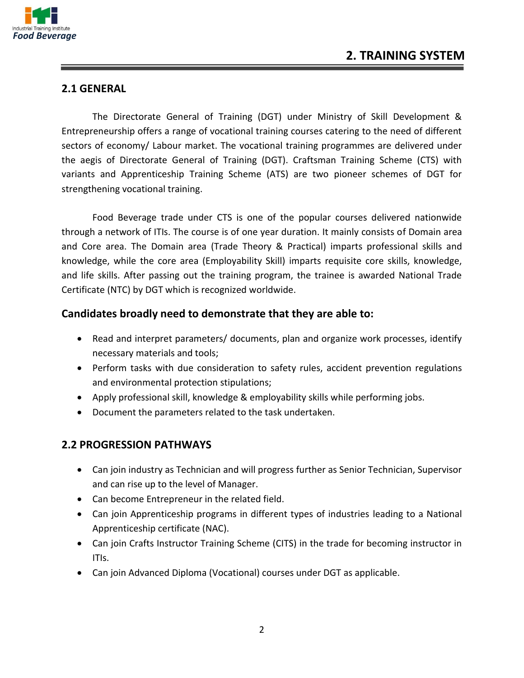

#### **2.1 GENERAL**

The Directorate General of Training (DGT) under Ministry of Skill Development & Entrepreneurship offers a range of vocational training courses catering to the need of different sectors of economy/ Labour market. The vocational training programmes are delivered under the aegis of Directorate General of Training (DGT). Craftsman Training Scheme (CTS) with variants and Apprenticeship Training Scheme (ATS) are two pioneer schemes of DGT for strengthening vocational training.

Food Beverage trade under CTS is one of the popular courses delivered nationwide through a network of ITIs. The course is of one year duration. It mainly consists of Domain area and Core area. The Domain area (Trade Theory & Practical) imparts professional skills and knowledge, while the core area (Employability Skill) imparts requisite core skills, knowledge, and life skills. After passing out the training program, the trainee is awarded National Trade Certificate (NTC) by DGT which is recognized worldwide.

#### **Candidates broadly need to demonstrate that they are able to:**

- Read and interpret parameters/ documents, plan and organize work processes, identify necessary materials and tools;
- Perform tasks with due consideration to safety rules, accident prevention regulations and environmental protection stipulations;
- Apply professional skill, knowledge & employability skills while performing jobs.
- Document the parameters related to the task undertaken.

#### **2.2 PROGRESSION PATHWAYS**

- Can join industry as Technician and will progress further as Senior Technician, Supervisor and can rise up to the level of Manager.
- Can become Entrepreneur in the related field.
- Can join Apprenticeship programs in different types of industries leading to a National Apprenticeship certificate (NAC).
- Can join Crafts Instructor Training Scheme (CITS) in the trade for becoming instructor in ITIs.
- Can join Advanced Diploma (Vocational) courses under DGT as applicable.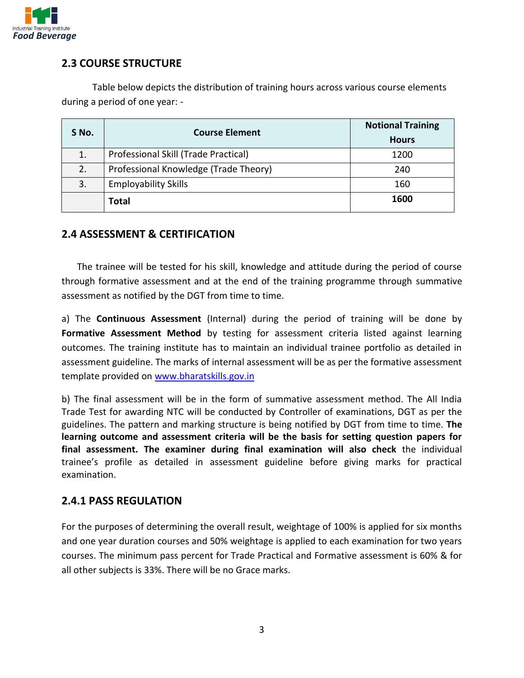

#### **2.3 COURSE STRUCTURE**

Table below depicts the distribution of training hours across various course elements during a period of one year: -

|       | <b>Course Element</b>                 | <b>Notional Training</b> |
|-------|---------------------------------------|--------------------------|
| S No. |                                       | <b>Hours</b>             |
| 1.    | Professional Skill (Trade Practical)  | 1200                     |
| 2.    | Professional Knowledge (Trade Theory) | 240                      |
| 3.    | <b>Employability Skills</b>           | 160                      |
|       | <b>Total</b>                          | 1600                     |

#### **2.4 ASSESSMENT & CERTIFICATION**

The trainee will be tested for his skill, knowledge and attitude during the period of course through formative assessment and at the end of the training programme through summative assessment as notified by the DGT from time to time.

a) The **Continuous Assessment** (Internal) during the period of training will be done by **Formative Assessment Method** by testing for assessment criteria listed against learning outcomes. The training institute has to maintain an individual trainee portfolio as detailed in assessment guideline. The marks of internal assessment will be as per the formative assessment template provided on [www.bharatskills.gov.in](http://www.bharatskills.gov.in/)

b) The final assessment will be in the form of summative assessment method. The All India Trade Test for awarding NTC will be conducted by Controller of examinations, DGT as per the guidelines. The pattern and marking structure is being notified by DGT from time to time. **The learning outcome and assessment criteria will be the basis for setting question papers for final assessment. The examiner during final examination will also check** the individual trainee's profile as detailed in assessment guideline before giving marks for practical examination.

#### **2.4.1 PASS REGULATION**

For the purposes of determining the overall result, weightage of 100% is applied for six months and one year duration courses and 50% weightage is applied to each examination for two years courses. The minimum pass percent for Trade Practical and Formative assessment is 60% & for all other subjects is 33%. There will be no Grace marks.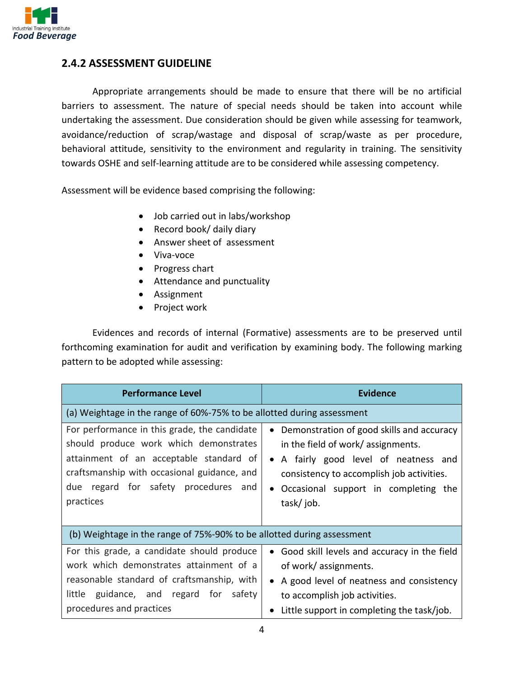

#### **2.4.2 ASSESSMENT GUIDELINE**

Appropriate arrangements should be made to ensure that there will be no artificial barriers to assessment. The nature of special needs should be taken into account while undertaking the assessment. Due consideration should be given while assessing for teamwork, avoidance/reduction of scrap/wastage and disposal of scrap/waste as per procedure, behavioral attitude, sensitivity to the environment and regularity in training. The sensitivity towards OSHE and self-learning attitude are to be considered while assessing competency.

Assessment will be evidence based comprising the following:

- Job carried out in labs/workshop
- Record book/ daily diary
- Answer sheet of assessment
- Viva-voce
- Progress chart
- Attendance and punctuality
- Assignment
- Project work

Evidences and records of internal (Formative) assessments are to be preserved until forthcoming examination for audit and verification by examining body. The following marking pattern to be adopted while assessing:

| <b>Performance Level</b>                                                                                                                                                                                                              | <b>Evidence</b>                                                                                                                                                                                                                                    |
|---------------------------------------------------------------------------------------------------------------------------------------------------------------------------------------------------------------------------------------|----------------------------------------------------------------------------------------------------------------------------------------------------------------------------------------------------------------------------------------------------|
| (a) Weightage in the range of 60%-75% to be allotted during assessment                                                                                                                                                                |                                                                                                                                                                                                                                                    |
| For performance in this grade, the candidate<br>should produce work which demonstrates<br>attainment of an acceptable standard of<br>craftsmanship with occasional guidance, and<br>due regard for safety procedures and<br>practices | Demonstration of good skills and accuracy<br>$\bullet$<br>in the field of work/ assignments.<br>A fairly good level of neatness and<br>$\bullet$<br>consistency to accomplish job activities.<br>Occasional support in completing the<br>task/job. |
| (b) Weightage in the range of 75%-90% to be allotted during assessment                                                                                                                                                                |                                                                                                                                                                                                                                                    |
| For this grade, a candidate should produce<br>work which demonstrates attainment of a<br>reasonable standard of craftsmanship, with<br>little guidance, and regard for<br>safety<br>procedures and practices                          | Good skill levels and accuracy in the field<br>$\bullet$<br>of work/assignments.<br>A good level of neatness and consistency<br>to accomplish job activities.<br>Little support in completing the task/job.                                        |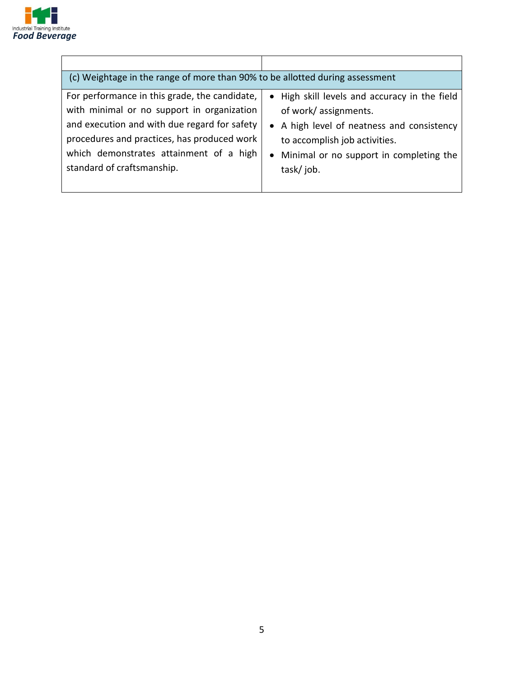

| (c) Weightage in the range of more than 90% to be allotted during assessment |                                               |
|------------------------------------------------------------------------------|-----------------------------------------------|
| For performance in this grade, the candidate,                                | • High skill levels and accuracy in the field |
| with minimal or no support in organization                                   | of work/assignments.                          |
| and execution and with due regard for safety                                 | • A high level of neatness and consistency    |
| procedures and practices, has produced work                                  | to accomplish job activities.                 |
| which demonstrates attainment of a high                                      | • Minimal or no support in completing the     |
| standard of craftsmanship.                                                   | task/job.                                     |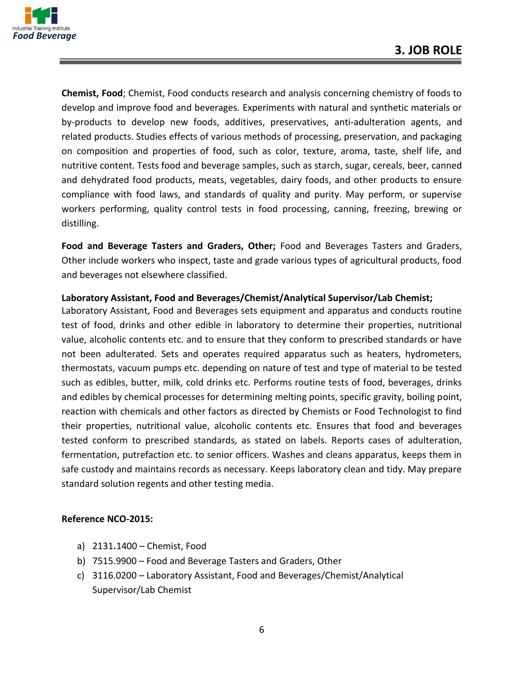

**Chemist, Food**; Chemist, Food conducts research and analysis concerning chemistry of foods to develop and improve food and beverages. Experiments with natural and synthetic materials or by-products to develop new foods, additives, preservatives, anti-adulteration agents, and related products. Studies effects of various methods of processing, preservation, and packaging on composition and properties of food, such as color, texture, aroma, taste, shelf life, and nutritive content. Tests food and beverage samples, such as starch, sugar, cereals, beer, canned and dehydrated food products, meats, vegetables, dairy foods, and other products to ensure compliance with food laws, and standards of quality and purity. May perform, or supervise workers performing, quality control tests in food processing, canning, freezing, brewing or distilling.

**Food and Beverage Tasters and Graders, Other;** Food and Beverages Tasters and Graders, Other include workers who inspect, taste and grade various types of agricultural products, food and beverages not elsewhere classified.

#### **Laboratory Assistant, Food and Beverages/Chemist/Analytical Supervisor/Lab Chemist;**

Laboratory Assistant, Food and Beverages sets equipment and apparatus and conducts routine test of food, drinks and other edible in laboratory to determine their properties, nutritional value, alcoholic contents etc. and to ensure that they conform to prescribed standards or have not been adulterated. Sets and operates required apparatus such as heaters, hydrometers, thermostats, vacuum pumps etc. depending on nature of test and type of material to be tested such as edibles, butter, milk, cold drinks etc. Performs routine tests of food, beverages, drinks and edibles by chemical processes for determining melting points, specific gravity, boiling point, reaction with chemicals and other factors as directed by Chemists or Food Technologist to find their properties, nutritional value, alcoholic contents etc. Ensures that food and beverages tested conform to prescribed standards, as stated on labels. Reports cases of adulteration, fermentation, putrefaction etc. to senior officers. Washes and cleans apparatus, keeps them in safe custody and maintains records as necessary. Keeps laboratory clean and tidy. May prepare standard solution regents and other testing media.

#### **Reference NCO-2015:**

- a) 2131.1400 Chemist, Food
- b) 7515.9900 Food and Beverage Tasters and Graders, Other
- c) 3116.0200 Laboratory Assistant, Food and Beverages/Chemist/Analytical Supervisor/Lab Chemist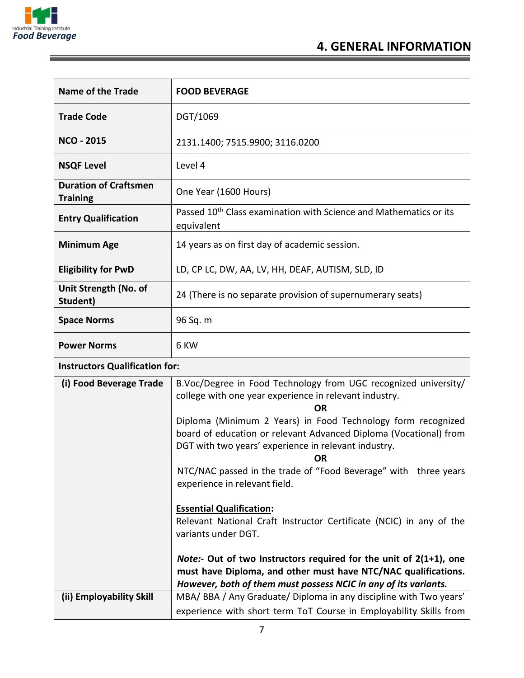

Ξ

| <b>Name of the Trade</b>                        | <b>FOOD BEVERAGE</b>                                                                                                                                                                                   |  |
|-------------------------------------------------|--------------------------------------------------------------------------------------------------------------------------------------------------------------------------------------------------------|--|
| <b>Trade Code</b>                               | DGT/1069                                                                                                                                                                                               |  |
| <b>NCO - 2015</b>                               | 2131.1400; 7515.9900; 3116.0200                                                                                                                                                                        |  |
| <b>NSQF Level</b>                               | Level 4                                                                                                                                                                                                |  |
| <b>Duration of Craftsmen</b><br><b>Training</b> | One Year (1600 Hours)                                                                                                                                                                                  |  |
| <b>Entry Qualification</b>                      | Passed 10 <sup>th</sup> Class examination with Science and Mathematics or its<br>equivalent                                                                                                            |  |
| <b>Minimum Age</b>                              | 14 years as on first day of academic session.                                                                                                                                                          |  |
| <b>Eligibility for PwD</b>                      | LD, CP LC, DW, AA, LV, HH, DEAF, AUTISM, SLD, ID                                                                                                                                                       |  |
| Unit Strength (No. of<br>Student)               | 24 (There is no separate provision of supernumerary seats)                                                                                                                                             |  |
| <b>Space Norms</b>                              | 96 Sq. m                                                                                                                                                                                               |  |
| <b>Power Norms</b>                              | 6 KW                                                                                                                                                                                                   |  |
| <b>Instructors Qualification for:</b>           |                                                                                                                                                                                                        |  |
| (i) Food Beverage Trade                         | B.Voc/Degree in Food Technology from UGC recognized university/<br>college with one year experience in relevant industry.<br>ΟR                                                                        |  |
|                                                 | Diploma (Minimum 2 Years) in Food Technology form recognized<br>board of education or relevant Advanced Diploma (Vocational) from<br>DGT with two years' experience in relevant industry.<br><b>OR</b> |  |
|                                                 | NTC/NAC passed in the trade of "Food Beverage" with three years<br>experience in relevant field.                                                                                                       |  |
|                                                 | <b>Essential Qualification:</b><br>Relevant National Craft Instructor Certificate (NCIC) in any of the<br>variants under DGT.                                                                          |  |
|                                                 | <i>Note:</i> - Out of two Instructors required for the unit of $2(1+1)$ , one<br>must have Diploma, and other must have NTC/NAC qualifications.                                                        |  |
| (ii) Employability Skill                        | However, both of them must possess NCIC in any of its variants.<br>MBA/ BBA / Any Graduate/ Diploma in any discipline with Two years'                                                                  |  |
|                                                 | experience with short term ToT Course in Employability Skills from                                                                                                                                     |  |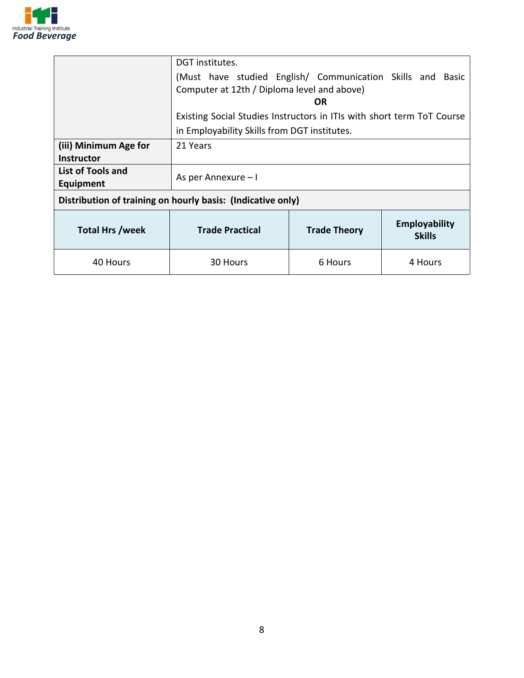

|                                          | DGT institutes.                                                        |                     |                                       |
|------------------------------------------|------------------------------------------------------------------------|---------------------|---------------------------------------|
|                                          | (Must have studied English/ Communication Skills and Basic             |                     |                                       |
|                                          | Computer at 12th / Diploma level and above)                            |                     |                                       |
|                                          |                                                                        | OR                  |                                       |
|                                          | Existing Social Studies Instructors in ITIs with short term ToT Course |                     |                                       |
|                                          | in Employability Skills from DGT institutes.                           |                     |                                       |
| (iii) Minimum Age for                    | 21 Years                                                               |                     |                                       |
| <b>Instructor</b>                        |                                                                        |                     |                                       |
| List of Tools and<br>As per Annexure - I |                                                                        |                     |                                       |
| Equipment                                |                                                                        |                     |                                       |
|                                          | Distribution of training on hourly basis: (Indicative only)            |                     |                                       |
| <b>Total Hrs /week</b>                   | <b>Trade Practical</b>                                                 | <b>Trade Theory</b> | <b>Employability</b><br><b>Skills</b> |
| 40 Hours                                 | 30 Hours                                                               | 6 Hours             | 4 Hours                               |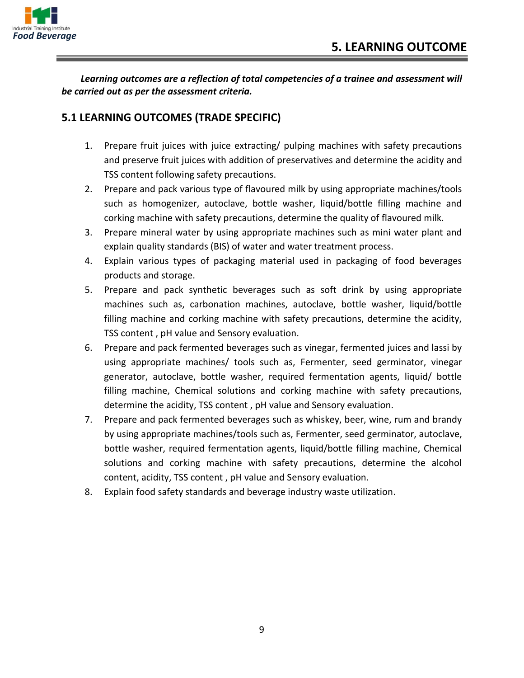

*Learning outcomes are a reflection of total competencies of a trainee and assessment will be carried out as per the assessment criteria.*

#### **5.1 LEARNING OUTCOMES (TRADE SPECIFIC)**

- 1. Prepare fruit juices with juice extracting/ pulping machines with safety precautions and preserve fruit juices with addition of preservatives and determine the acidity and TSS content following safety precautions.
- 2. Prepare and pack various type of flavoured milk by using appropriate machines/tools such as homogenizer, autoclave, bottle washer, liquid/bottle filling machine and corking machine with safety precautions, determine the quality of flavoured milk.
- 3. Prepare mineral water by using appropriate machines such as mini water plant and explain quality standards (BIS) of water and water treatment process.
- 4. Explain various types of packaging material used in packaging of food beverages products and storage.
- 5. Prepare and pack synthetic beverages such as soft drink by using appropriate machines such as, carbonation machines, autoclave, bottle washer, liquid/bottle filling machine and corking machine with safety precautions, determine the acidity, TSS content , pH value and Sensory evaluation.
- 6. Prepare and pack fermented beverages such as vinegar, fermented juices and lassi by using appropriate machines/ tools such as, Fermenter, seed germinator, vinegar generator, autoclave, bottle washer, required fermentation agents, liquid/ bottle filling machine, Chemical solutions and corking machine with safety precautions, determine the acidity, TSS content , pH value and Sensory evaluation.
- 7. Prepare and pack fermented beverages such as whiskey, beer, wine, rum and brandy by using appropriate machines/tools such as, Fermenter, seed germinator, autoclave, bottle washer, required fermentation agents, liquid/bottle filling machine, Chemical solutions and corking machine with safety precautions, determine the alcohol content, acidity, TSS content , pH value and Sensory evaluation.
- 8. Explain food safety standards and beverage industry waste utilization.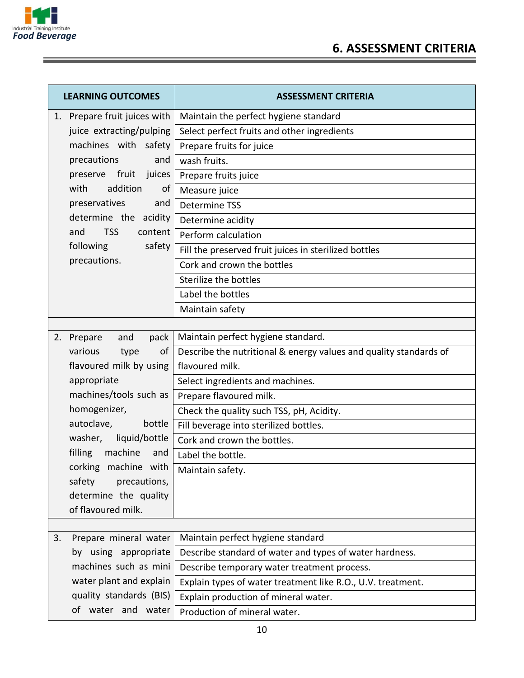

| <b>LEARNING OUTCOMES</b>                    | <b>ASSESSMENT CRITERIA</b>                                        |
|---------------------------------------------|-------------------------------------------------------------------|
| 1. Prepare fruit juices with                | Maintain the perfect hygiene standard                             |
| juice extracting/pulping                    | Select perfect fruits and other ingredients                       |
| machines with safety                        | Prepare fruits for juice                                          |
| precautions<br>and                          | wash fruits.                                                      |
| preserve fruit juices                       | Prepare fruits juice                                              |
| addition<br>with<br>of                      | Measure juice                                                     |
| preservatives<br>and                        | Determine TSS                                                     |
| determine the acidity                       | Determine acidity                                                 |
| <b>TSS</b><br>content<br>and                | Perform calculation                                               |
| following<br>safety                         | Fill the preserved fruit juices in sterilized bottles             |
| precautions.                                | Cork and crown the bottles                                        |
|                                             | Sterilize the bottles                                             |
|                                             | Label the bottles                                                 |
|                                             | Maintain safety                                                   |
|                                             |                                                                   |
| Prepare<br>and<br>pack<br>2.                | Maintain perfect hygiene standard.                                |
| various<br>of<br>type                       | Describe the nutritional & energy values and quality standards of |
| flavoured milk by using                     | flavoured milk.                                                   |
| appropriate                                 | Select ingredients and machines.                                  |
| machines/tools such as                      | Prepare flavoured milk.                                           |
| homogenizer,                                | Check the quality such TSS, pH, Acidity.                          |
| autoclave,<br>bottle                        | Fill beverage into sterilized bottles.                            |
| washer, liquid/bottle                       | Cork and crown the bottles.                                       |
| filling<br>machine<br>and                   | Label the bottle.                                                 |
| corking machine with                        | Maintain safety.                                                  |
| safety<br>precautions,                      |                                                                   |
| determine the quality<br>of flavoured milk. |                                                                   |
|                                             |                                                                   |
| Prepare mineral water<br>3.                 | Maintain perfect hygiene standard                                 |
| by using appropriate                        | Describe standard of water and types of water hardness.           |
| machines such as mini                       | Describe temporary water treatment process.                       |
| water plant and explain                     | Explain types of water treatment like R.O., U.V. treatment.       |
| quality standards (BIS)                     | Explain production of mineral water.                              |
| of water and water                          | Production of mineral water.                                      |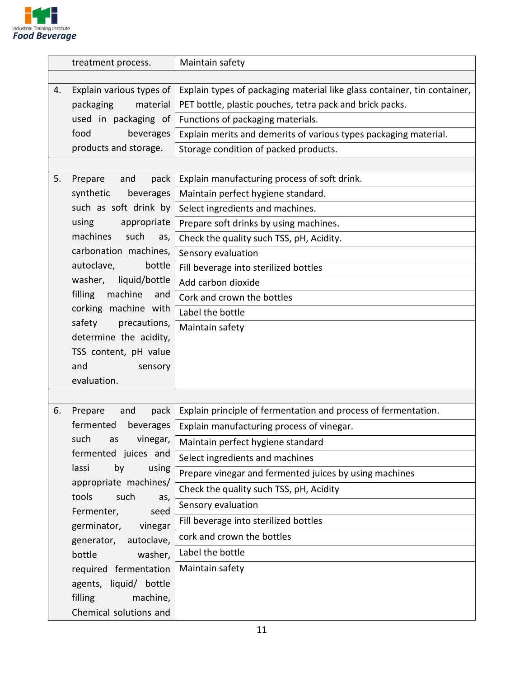

|    | treatment process.        | Maintain safety                                                          |
|----|---------------------------|--------------------------------------------------------------------------|
|    |                           |                                                                          |
| 4. | Explain various types of  | Explain types of packaging material like glass container, tin container, |
|    | packaging<br>material     | PET bottle, plastic pouches, tetra pack and brick packs.                 |
|    | used in packaging of      | Functions of packaging materials.                                        |
|    | food<br>beverages         | Explain merits and demerits of various types packaging material.         |
|    | products and storage.     | Storage condition of packed products.                                    |
|    |                           |                                                                          |
| 5. | Prepare<br>pack<br>and    | Explain manufacturing process of soft drink.                             |
|    | synthetic<br>beverages    | Maintain perfect hygiene standard.                                       |
|    | such as soft drink by     | Select ingredients and machines.                                         |
|    | using<br>appropriate      | Prepare soft drinks by using machines.                                   |
|    | machines<br>such<br>as,   | Check the quality such TSS, pH, Acidity.                                 |
|    | carbonation machines,     | Sensory evaluation                                                       |
|    | autoclave,<br>bottle      | Fill beverage into sterilized bottles                                    |
|    | washer,<br>liquid/bottle  | Add carbon dioxide                                                       |
|    | filling<br>machine<br>and | Cork and crown the bottles                                               |
|    | corking machine with      | Label the bottle                                                         |
|    | safety<br>precautions,    | Maintain safety                                                          |
|    | determine the acidity,    |                                                                          |
|    | TSS content, pH value     |                                                                          |
|    | and<br>sensory            |                                                                          |
|    | evaluation.               |                                                                          |
|    |                           |                                                                          |
| 6. | Prepare<br>pack<br>and    | Explain principle of fermentation and process of fermentation.           |
|    | fermented<br>beverages    | Explain manufacturing process of vinegar.                                |
|    | such<br>as vinegar,       | Maintain perfect hygiene standard                                        |
|    | fermented juices and      | Select ingredients and machines                                          |
|    | lassi<br>by<br>using      | Prepare vinegar and fermented juices by using machines                   |
|    | appropriate machines/     | Check the quality such TSS, pH, Acidity                                  |
|    | such<br>tools<br>as,      | Sensory evaluation                                                       |
|    | Fermenter,<br>seed        | Fill beverage into sterilized bottles                                    |
|    | germinator,<br>vinegar    | cork and crown the bottles                                               |
|    | autoclave,<br>generator,  | Label the bottle                                                         |
|    | bottle<br>washer,         |                                                                          |
|    | required fermentation     | Maintain safety                                                          |
|    | agents, liquid/ bottle    |                                                                          |
|    | filling<br>machine,       |                                                                          |
|    | Chemical solutions and    |                                                                          |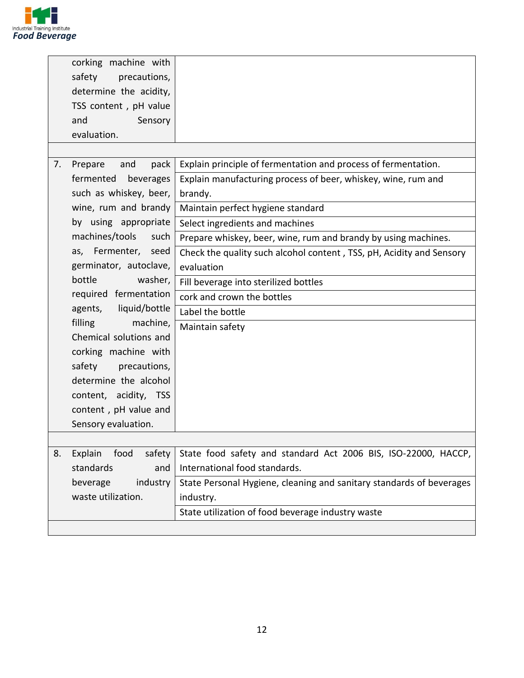

|                     | corking machine with   |                                                                      |
|---------------------|------------------------|----------------------------------------------------------------------|
| safety              | precautions,           |                                                                      |
|                     | determine the acidity, |                                                                      |
|                     | TSS content, pH value  |                                                                      |
| and                 | Sensory                |                                                                      |
| evaluation.         |                        |                                                                      |
|                     |                        |                                                                      |
| 7.<br>Prepare       | pack<br>and            | Explain principle of fermentation and process of fermentation.       |
| fermented           | beverages              | Explain manufacturing process of beer, whiskey, wine, rum and        |
|                     | such as whiskey, beer, | brandy.                                                              |
|                     | wine, rum and brandy   | Maintain perfect hygiene standard                                    |
|                     | by using appropriate   | Select ingredients and machines                                      |
| machines/tools      | such                   | Prepare whiskey, beer, wine, rum and brandy by using machines.       |
|                     | as, Fermenter, seed    | Check the quality such alcohol content, TSS, pH, Acidity and Sensory |
|                     | germinator, autoclave, | evaluation                                                           |
| bottle              | washer,                | Fill beverage into sterilized bottles                                |
|                     | required fermentation  | cork and crown the bottles                                           |
|                     | agents, liquid/bottle  | Label the bottle                                                     |
| filling             | machine,               | Maintain safety                                                      |
|                     | Chemical solutions and |                                                                      |
|                     | corking machine with   |                                                                      |
| safety              | precautions,           |                                                                      |
|                     | determine the alcohol  |                                                                      |
|                     | content, acidity, TSS  |                                                                      |
|                     | content, pH value and  |                                                                      |
| Sensory evaluation. |                        |                                                                      |
|                     |                        |                                                                      |
| Explain<br>8.       | food<br>safety         | State food safety and standard Act 2006 BIS, ISO-22000, HACCP,       |
| standards           | and                    | International food standards.                                        |
| beverage            | industry               | State Personal Hygiene, cleaning and sanitary standards of beverages |
| waste utilization.  |                        | industry.                                                            |
|                     |                        | State utilization of food beverage industry waste                    |
|                     |                        |                                                                      |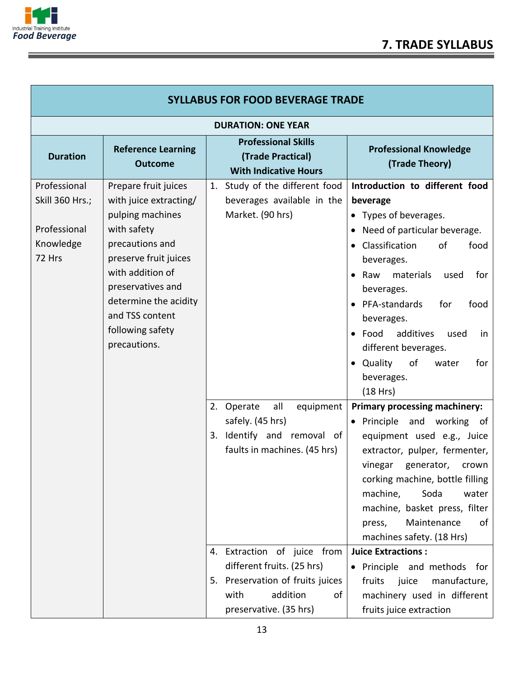

Ξ

| <b>SYLLABUS FOR FOOD BEVERAGE TRADE</b>                                |                                                                                                                                                                                                                                                        |                                                                                                                                                                                                                                                                       |                                                                                                                                                                                                                                                                                                                                                                                                                                                                                        |  |
|------------------------------------------------------------------------|--------------------------------------------------------------------------------------------------------------------------------------------------------------------------------------------------------------------------------------------------------|-----------------------------------------------------------------------------------------------------------------------------------------------------------------------------------------------------------------------------------------------------------------------|----------------------------------------------------------------------------------------------------------------------------------------------------------------------------------------------------------------------------------------------------------------------------------------------------------------------------------------------------------------------------------------------------------------------------------------------------------------------------------------|--|
|                                                                        | <b>DURATION: ONE YEAR</b>                                                                                                                                                                                                                              |                                                                                                                                                                                                                                                                       |                                                                                                                                                                                                                                                                                                                                                                                                                                                                                        |  |
| <b>Duration</b>                                                        | <b>Reference Learning</b><br><b>Outcome</b>                                                                                                                                                                                                            | <b>Professional Skills</b><br>(Trade Practical)<br><b>With Indicative Hours</b>                                                                                                                                                                                       | <b>Professional Knowledge</b><br>(Trade Theory)                                                                                                                                                                                                                                                                                                                                                                                                                                        |  |
| Professional<br>Skill 360 Hrs.;<br>Professional<br>Knowledge<br>72 Hrs | Prepare fruit juices<br>with juice extracting/<br>pulping machines<br>with safety<br>precautions and<br>preserve fruit juices<br>with addition of<br>preservatives and<br>determine the acidity<br>and TSS content<br>following safety<br>precautions. | 1. Study of the different food<br>beverages available in the<br>Market. (90 hrs)                                                                                                                                                                                      | Introduction to different food<br>beverage<br>• Types of beverages.<br>• Need of particular beverage.<br>Classification<br>of<br>food<br>$\bullet$<br>beverages.<br>$\bullet$ Raw<br>materials<br>for<br>used<br>beverages.<br>• PFA-standards<br>for<br>food<br>beverages.<br>$\bullet$ Food<br>additives<br>used<br>in<br>different beverages.<br>• Quality<br>of<br>for<br>water<br>beverages.<br>(18 Hrs)                                                                          |  |
|                                                                        |                                                                                                                                                                                                                                                        | all<br>2. Operate<br>equipment<br>safely. (45 hrs)<br>3. Identify and removal of<br>faults in machines. (45 hrs)<br>4. Extraction of juice from<br>different fruits. (25 hrs)<br>5. Preservation of fruits juices<br>addition<br>with<br>οf<br>preservative. (35 hrs) | <b>Primary processing machinery:</b><br>• Principle and working of<br>equipment used e.g., Juice<br>extractor, pulper, fermenter,<br>vinegar generator,<br>crown<br>corking machine, bottle filling<br>Soda<br>machine,<br>water<br>machine, basket press, filter<br>Maintenance<br>press,<br>οf<br>machines safety. (18 Hrs)<br><b>Juice Extractions:</b><br>· Principle and methods for<br>fruits<br>juice<br>manufacture,<br>machinery used in different<br>fruits juice extraction |  |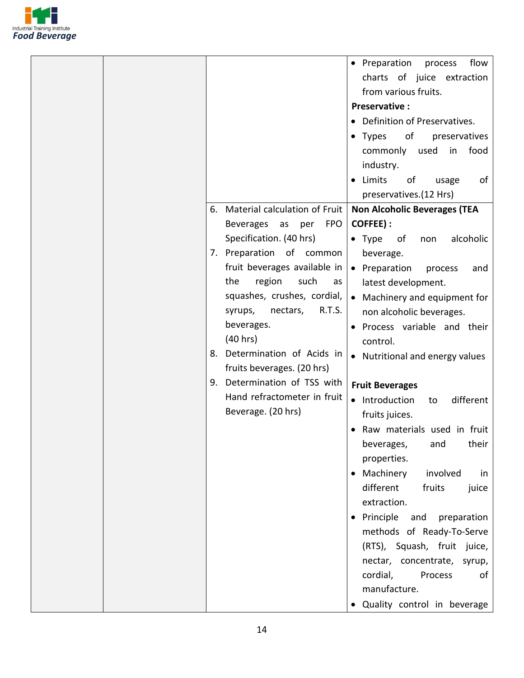

|                                                                                                                                                                                                                                                                                                                                                                                                                      | • Preparation<br>flow<br>process<br>charts of juice extraction<br>from various fruits.<br><b>Preservative:</b><br>• Definition of Preservatives.<br>of<br>preservatives<br>$\bullet$ Types                                                                                                                                                                                                                                                                                                                                                                                                                                                                                                         |
|----------------------------------------------------------------------------------------------------------------------------------------------------------------------------------------------------------------------------------------------------------------------------------------------------------------------------------------------------------------------------------------------------------------------|----------------------------------------------------------------------------------------------------------------------------------------------------------------------------------------------------------------------------------------------------------------------------------------------------------------------------------------------------------------------------------------------------------------------------------------------------------------------------------------------------------------------------------------------------------------------------------------------------------------------------------------------------------------------------------------------------|
| Material calculation of Fruit<br>6.                                                                                                                                                                                                                                                                                                                                                                                  | food<br>commonly used<br>in<br>industry.<br>• Limits<br>of<br>of<br>usage<br>preservatives.(12 Hrs)<br><b>Non Alcoholic Beverages (TEA</b>                                                                                                                                                                                                                                                                                                                                                                                                                                                                                                                                                         |
| <b>Beverages</b><br><b>FPO</b><br>as<br>per<br>Specification. (40 hrs)<br>7. Preparation of common<br>fruit beverages available in<br>region<br>the<br>such<br>as<br>squashes, crushes, cordial,<br>R.T.S.<br>nectars,<br>syrups,<br>beverages.<br>(40 hrs)<br>Determination of Acids in<br>8.<br>fruits beverages. (20 hrs)<br>Determination of TSS with<br>9.<br>Hand refractometer in fruit<br>Beverage. (20 hrs) | COFFEE) :<br>$\bullet$ Type<br>alcoholic<br>of<br>non<br>beverage.<br>• Preparation<br>process<br>and<br>latest development.<br>• Machinery and equipment for<br>non alcoholic beverages.<br>• Process variable and their<br>control.<br>• Nutritional and energy values<br><b>Fruit Beverages</b><br>• Introduction<br>different<br>to<br>fruits juices.<br>Raw materials used in fruit<br>their<br>beverages,<br>and<br>properties.<br>• Machinery<br>involved<br>in<br>different<br>fruits<br>juice<br>extraction.<br>• Principle<br>and<br>preparation<br>methods of Ready-To-Serve<br>(RTS), Squash, fruit juice,<br>nectar, concentrate, syrup,<br>cordial,<br>Process<br>οf<br>manufacture. |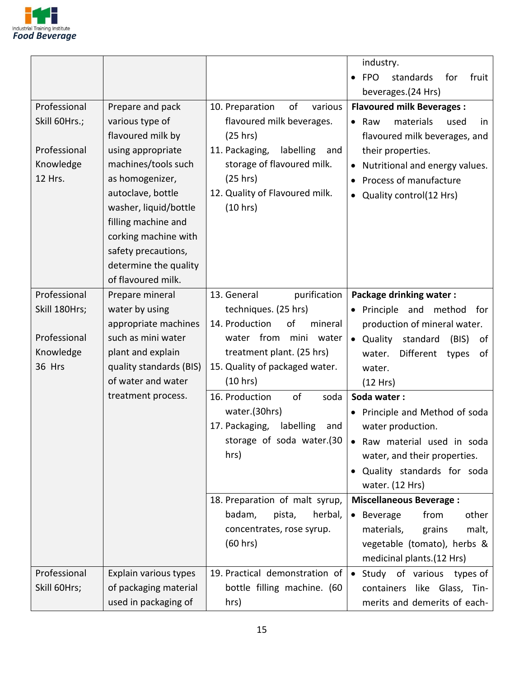

|                      |                                      |                                            | industry.                                                |
|----------------------|--------------------------------------|--------------------------------------------|----------------------------------------------------------|
|                      |                                      |                                            | standards<br>for<br><b>FPO</b><br>fruit<br>$\bullet$     |
|                      |                                      |                                            | beverages.(24 Hrs)                                       |
| Professional         | Prepare and pack                     | 10. Preparation<br>of<br>various           | <b>Flavoured milk Beverages:</b>                         |
| Skill 60Hrs.;        | various type of                      | flavoured milk beverages.                  | $\bullet$ Raw<br>materials<br>used<br>in.                |
|                      | flavoured milk by                    | (25 hrs)                                   | flavoured milk beverages, and                            |
| Professional         | using appropriate                    | 11. Packaging,<br>labelling<br>and         | their properties.                                        |
| Knowledge<br>12 Hrs. | machines/tools such                  | storage of flavoured milk.                 | Nutritional and energy values.<br>$\bullet$              |
|                      | as homogenizer,<br>autoclave, bottle | (25 hrs)<br>12. Quality of Flavoured milk. | Process of manufacture                                   |
|                      | washer, liquid/bottle                | (10 hrs)                                   | Quality control(12 Hrs)                                  |
|                      | filling machine and                  |                                            |                                                          |
|                      | corking machine with                 |                                            |                                                          |
|                      | safety precautions,                  |                                            |                                                          |
|                      | determine the quality                |                                            |                                                          |
|                      | of flavoured milk.                   |                                            |                                                          |
| Professional         | Prepare mineral                      | 13. General<br>purification                | <b>Package drinking water:</b>                           |
| Skill 180Hrs;        | water by using                       | techniques. (25 hrs)                       | • Principle and method<br>for                            |
|                      | appropriate machines                 | 14. Production<br>of<br>mineral            | production of mineral water.                             |
| Professional         | such as mini water                   | water from<br>mini water                   | • Quality standard<br>(BIS)<br>of                        |
| Knowledge            | plant and explain                    | treatment plant. (25 hrs)                  | Different<br>water.<br>types<br>of                       |
| 36 Hrs               | quality standards (BIS)              | 15. Quality of packaged water.             | water.                                                   |
|                      | of water and water                   | (10 hrs)                                   | (12 Hrs)                                                 |
|                      | treatment process.                   | of<br>16. Production<br>soda               | Soda water:                                              |
|                      |                                      | water.(30hrs)                              | • Principle and Method of soda                           |
|                      |                                      | 17. Packaging,<br>labelling<br>and         | water production.                                        |
|                      |                                      | storage of soda water.(30                  | • Raw material used in soda                              |
|                      |                                      | hrs)                                       | water, and their properties.                             |
|                      |                                      |                                            | Quality standards for soda<br>$\bullet$                  |
|                      |                                      |                                            | water. (12 Hrs)                                          |
|                      |                                      | 18. Preparation of malt syrup,             | <b>Miscellaneous Beverage:</b>                           |
|                      |                                      | badam,<br>herbal,<br>pista,                | • Beverage<br>other<br>from                              |
|                      |                                      | concentrates, rose syrup.<br>(60 hrs)      | malt,<br>materials,<br>grains                            |
|                      |                                      |                                            | vegetable (tomato), herbs &<br>medicinal plants.(12 Hrs) |
| Professional         | Explain various types                | 19. Practical demonstration of             | Study of various types of<br>$\bullet$                   |
| Skill 60Hrs;         | of packaging material                | bottle filling machine. (60                | containers like Glass, Tin-                              |
|                      |                                      |                                            |                                                          |
|                      | used in packaging of                 | hrs)                                       | merits and demerits of each-                             |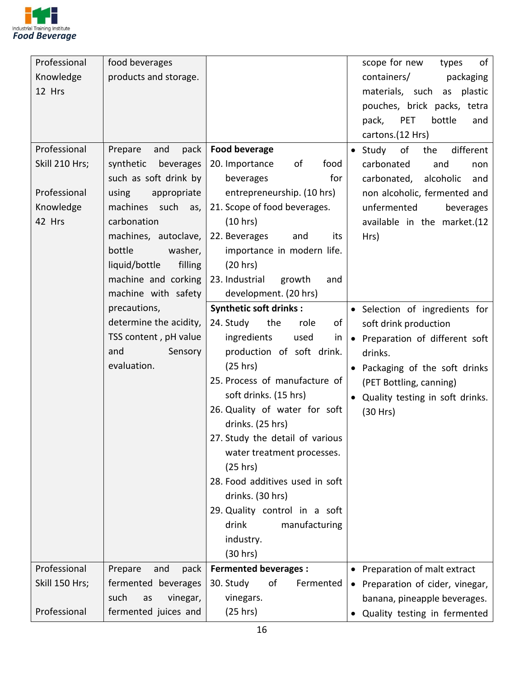

| Professional   | food beverages           |                                 | scope for new<br>of<br>types              |
|----------------|--------------------------|---------------------------------|-------------------------------------------|
| Knowledge      | products and storage.    |                                 | containers/<br>packaging                  |
| 12 Hrs         |                          |                                 | materials, such as<br>plastic             |
|                |                          |                                 | pouches, brick packs, tetra               |
|                |                          |                                 | <b>PET</b><br>bottle<br>pack,<br>and      |
|                |                          |                                 | cartons.(12 Hrs)                          |
| Professional   | and<br>Prepare<br>pack   | Food beverage                   | $\bullet$ Study<br>of<br>different<br>the |
| Skill 210 Hrs; | synthetic<br>beverages   | 20. Importance<br>food<br>of    | carbonated<br>and<br>non                  |
|                | such as soft drink by    | for<br>beverages                | carbonated,<br>alcoholic<br>and           |
| Professional   | using<br>appropriate     | entrepreneurship. (10 hrs)      | non alcoholic, fermented and              |
| Knowledge      | machines such<br>as,     | 21. Scope of food beverages.    | unfermented<br>beverages                  |
| 42 Hrs         | carbonation              | (10 hrs)                        | available in the market.(12               |
|                | machines, autoclave,     | 22. Beverages<br>and<br>its     | Hrs)                                      |
|                | bottle<br>washer,        | importance in modern life.      |                                           |
|                | liquid/bottle<br>filling | (20 hrs)                        |                                           |
|                | machine and corking      | 23. Industrial<br>growth<br>and |                                           |
|                | machine with safety      | development. (20 hrs)           |                                           |
|                | precautions,             | <b>Synthetic soft drinks:</b>   | · Selection of ingredients for            |
|                | determine the acidity,   | 24. Study<br>the<br>role<br>of  | soft drink production                     |
|                | TSS content, pH value    | ingredients<br>used<br>in       | • Preparation of different soft           |
|                | and<br>Sensory           | production of soft drink.       | drinks.                                   |
|                | evaluation.              | (25 hrs)                        | • Packaging of the soft drinks            |
|                |                          | 25. Process of manufacture of   | (PET Bottling, canning)                   |
|                |                          | soft drinks. (15 hrs)           | • Quality testing in soft drinks.         |
|                |                          | 26. Quality of water for soft   | (30 Hrs)                                  |
|                |                          | drinks. (25 hrs)                |                                           |
|                |                          | 27. Study the detail of various |                                           |
|                |                          | water treatment processes.      |                                           |
|                |                          | (25 hrs)                        |                                           |
|                |                          | 28. Food additives used in soft |                                           |
|                |                          | drinks. (30 hrs)                |                                           |
|                |                          | 29. Quality control in a soft   |                                           |
|                |                          | drink<br>manufacturing          |                                           |
|                |                          | industry.                       |                                           |
|                |                          | (30 hrs)                        |                                           |
| Professional   | Prepare<br>and<br>pack   | <b>Fermented beverages:</b>     | • Preparation of malt extract             |
| Skill 150 Hrs; | fermented beverages      | 30. Study<br>of<br>Fermented    |                                           |
|                | such<br>vinegar,<br>as   | vinegars.                       | • Preparation of cider, vinegar,          |
| Professional   |                          |                                 | banana, pineapple beverages.              |
|                | fermented juices and     | (25 hrs)                        | Quality testing in fermented              |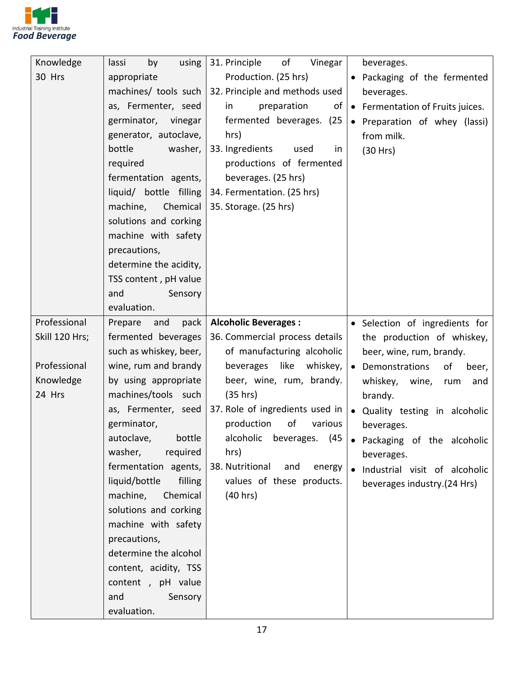

| Knowledge      | using<br>by<br>lassi     | 31. Principle<br>of<br>Vinegar   | beverages.                       |
|----------------|--------------------------|----------------------------------|----------------------------------|
| 30 Hrs         | appropriate              | Production. (25 hrs)             | • Packaging of the fermented     |
|                | machines/ tools such     | 32. Principle and methods used   | beverages.                       |
|                | as, Fermenter, seed      | preparation<br>in<br>of          | • Fermentation of Fruits juices. |
|                | germinator, vinegar      | fermented beverages. (25         | • Preparation of whey (lassi)    |
|                | generator, autoclave,    | hrs)                             | from milk.                       |
|                | bottle<br>washer,        | 33. Ingredients<br>used<br>in    | (30 Hrs)                         |
|                | required                 | productions of fermented         |                                  |
|                | fermentation agents,     | beverages. (25 hrs)              |                                  |
|                | liquid/ bottle filling   | 34. Fermentation. (25 hrs)       |                                  |
|                | machine,<br>Chemical     | 35. Storage. (25 hrs)            |                                  |
|                | solutions and corking    |                                  |                                  |
|                | machine with safety      |                                  |                                  |
|                | precautions,             |                                  |                                  |
|                | determine the acidity,   |                                  |                                  |
|                | TSS content, pH value    |                                  |                                  |
|                | and<br>Sensory           |                                  |                                  |
|                | evaluation.              |                                  |                                  |
| Professional   | Prepare<br>and<br>pack   | <b>Alcoholic Beverages:</b>      | • Selection of ingredients for   |
| Skill 120 Hrs; | fermented beverages      | 36. Commercial process details   | the production of whiskey,       |
|                | such as whiskey, beer,   | of manufacturing alcoholic       | beer, wine, rum, brandy.         |
| Professional   | wine, rum and brandy     | like<br>beverages<br>whiskey,    | • Demonstrations<br>of<br>beer,  |
| Knowledge      | by using appropriate     | beer, wine, rum, brandy.         | whiskey, wine,<br>and<br>rum     |
| 24 Hrs         | machines/tools such      | (35 hrs)                         | brandy.                          |
|                | as, Fermenter, seed      | 37. Role of ingredients used in  | • Quality testing in alcoholic   |
|                | germinator,              | production<br>of<br>various      | beverages.                       |
|                | autoclave, bottle        | alcoholic beverages. (45         | Packaging of the alcoholic       |
|                | washer,<br>required      | hrs)                             | beverages.                       |
|                | fermentation agents,     | 38. Nutritional<br>and<br>energy | · Industrial visit of alcoholic  |
|                | liquid/bottle<br>filling | values of these products.        | beverages industry.(24 Hrs)      |
|                | machine,<br>Chemical     | (40 hrs)                         |                                  |
|                | solutions and corking    |                                  |                                  |
|                | machine with safety      |                                  |                                  |
|                | precautions,             |                                  |                                  |
|                | determine the alcohol    |                                  |                                  |
|                | content, acidity, TSS    |                                  |                                  |
|                | content, pH value        |                                  |                                  |
|                | and<br>Sensory           |                                  |                                  |
|                | evaluation.              |                                  |                                  |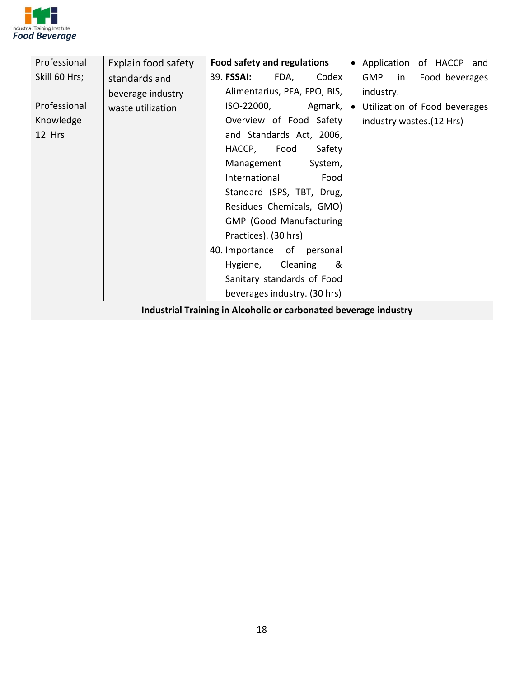

| Professional                                                     | Explain food safety | Food safety and regulations    | • Application of HACCP and         |
|------------------------------------------------------------------|---------------------|--------------------------------|------------------------------------|
| Skill 60 Hrs;                                                    | standards and       | 39. FSSAI:<br>Codex<br>FDA,    | <b>GMP</b><br>Food beverages<br>in |
|                                                                  | beverage industry   | Alimentarius, PFA, FPO, BIS,   | industry.                          |
| Professional                                                     | waste utilization   | ISO-22000,<br>Agmark,          | • Utilization of Food beverages    |
| Knowledge                                                        |                     | Overview of Food Safety        | industry wastes. (12 Hrs)          |
| 12 Hrs                                                           |                     | and Standards Act, 2006,       |                                    |
|                                                                  |                     | HACCP,<br>Food<br>Safety       |                                    |
|                                                                  |                     | Management<br>System,          |                                    |
|                                                                  |                     | International<br>Food          |                                    |
|                                                                  |                     | Standard (SPS, TBT, Drug,      |                                    |
|                                                                  |                     | Residues Chemicals, GMO)       |                                    |
|                                                                  |                     | <b>GMP</b> (Good Manufacturing |                                    |
|                                                                  |                     | Practices). (30 hrs)           |                                    |
|                                                                  |                     | 40. Importance of personal     |                                    |
|                                                                  |                     | Cleaning<br>&<br>Hygiene,      |                                    |
|                                                                  |                     | Sanitary standards of Food     |                                    |
|                                                                  |                     | beverages industry. (30 hrs)   |                                    |
| Industrial Training in Alcoholic or carbonated beverage industry |                     |                                |                                    |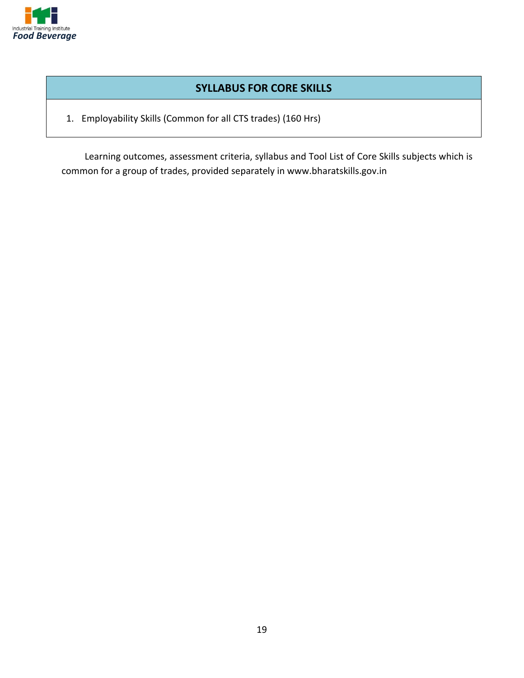

#### **SYLLABUS FOR CORE SKILLS**

1. Employability Skills (Common for all CTS trades) (160 Hrs)

Learning outcomes, assessment criteria, syllabus and Tool List of Core Skills subjects which is common for a group of trades, provided separately in www.bharatskills.gov.in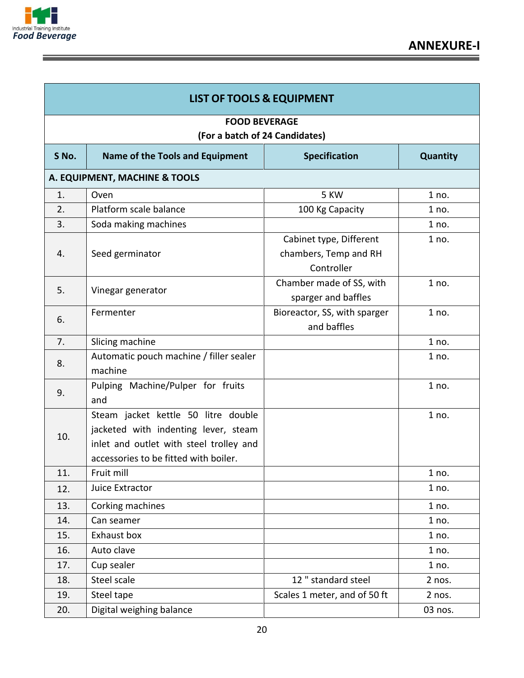

E

| <b>LIST OF TOOLS &amp; EQUIPMENT</b>                   |                                                                                                                                                                 |                                                                |                 |
|--------------------------------------------------------|-----------------------------------------------------------------------------------------------------------------------------------------------------------------|----------------------------------------------------------------|-----------------|
| <b>FOOD BEVERAGE</b><br>(For a batch of 24 Candidates) |                                                                                                                                                                 |                                                                |                 |
| S No.                                                  | <b>Name of the Tools and Equipment</b>                                                                                                                          | <b>Specification</b>                                           | <b>Quantity</b> |
|                                                        | A. EQUIPMENT, MACHINE & TOOLS                                                                                                                                   |                                                                |                 |
| 1.                                                     | Oven                                                                                                                                                            | 5 KW                                                           | 1 no.           |
| 2.                                                     | Platform scale balance                                                                                                                                          | 100 Kg Capacity                                                | 1 no.           |
| 3.                                                     | Soda making machines                                                                                                                                            |                                                                | 1 no.           |
| 4.                                                     | Seed germinator                                                                                                                                                 | Cabinet type, Different<br>chambers, Temp and RH<br>Controller | 1 no.           |
| 5.                                                     | Vinegar generator                                                                                                                                               | Chamber made of SS, with<br>sparger and baffles                | 1 no.           |
| 6.                                                     | Fermenter                                                                                                                                                       | Bioreactor, SS, with sparger<br>and baffles                    | 1 no.           |
| 7.                                                     | Slicing machine                                                                                                                                                 |                                                                | 1 no.           |
| 8.                                                     | Automatic pouch machine / filler sealer<br>machine                                                                                                              |                                                                | 1 no.           |
| 9.                                                     | Pulping Machine/Pulper for fruits<br>and                                                                                                                        |                                                                | 1 no.           |
| 10.                                                    | Steam jacket kettle 50 litre double<br>jacketed with indenting lever, steam<br>inlet and outlet with steel trolley and<br>accessories to be fitted with boiler. |                                                                | 1 no.           |
| 11.                                                    | Fruit mill                                                                                                                                                      |                                                                | 1 no.           |
| 12.                                                    | Juice Extractor                                                                                                                                                 |                                                                | 1 no.           |
| 13.                                                    | Corking machines                                                                                                                                                |                                                                | 1 no.           |
| 14.                                                    | Can seamer                                                                                                                                                      |                                                                | 1 no.           |
| 15.                                                    | Exhaust box                                                                                                                                                     |                                                                | 1 no.           |
| 16.                                                    | Auto clave                                                                                                                                                      |                                                                | 1 no.           |
| 17.                                                    | Cup sealer                                                                                                                                                      |                                                                | 1 no.           |
| 18.                                                    | Steel scale                                                                                                                                                     | 12 " standard steel                                            | 2 nos.          |
| 19.                                                    | Steel tape                                                                                                                                                      | Scales 1 meter, and of 50 ft                                   | 2 nos.          |
| 20.                                                    | Digital weighing balance                                                                                                                                        |                                                                | 03 nos.         |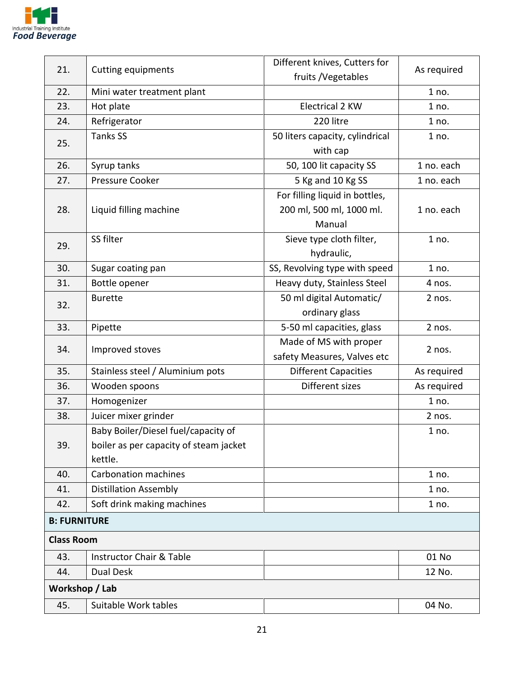

| 21.                 | <b>Cutting equipments</b>              | Different knives, Cutters for   | As required |  |
|---------------------|----------------------------------------|---------------------------------|-------------|--|
|                     |                                        | fruits / Vegetables             |             |  |
| 22.                 | Mini water treatment plant             |                                 | 1 no.       |  |
| 23.                 | Hot plate                              | <b>Electrical 2 KW</b>          | 1 no.       |  |
| 24.                 | Refrigerator                           | 220 litre                       | 1 no.       |  |
| 25.                 | <b>Tanks SS</b>                        | 50 liters capacity, cylindrical | 1 no.       |  |
|                     |                                        | with cap                        |             |  |
| 26.                 | Syrup tanks                            | 50, 100 lit capacity SS         | 1 no. each  |  |
| 27.                 | Pressure Cooker                        | 5 Kg and 10 Kg SS               | 1 no. each  |  |
|                     |                                        | For filling liquid in bottles,  |             |  |
| 28.                 | Liquid filling machine                 | 200 ml, 500 ml, 1000 ml.        | 1 no. each  |  |
|                     |                                        | Manual                          |             |  |
| 29.                 | SS filter                              | Sieve type cloth filter,        | 1 no.       |  |
|                     |                                        | hydraulic,                      |             |  |
| 30.                 | Sugar coating pan                      | SS, Revolving type with speed   | 1 no.       |  |
| 31.                 | Bottle opener                          | Heavy duty, Stainless Steel     | 4 nos.      |  |
| 32.                 | <b>Burette</b>                         | 50 ml digital Automatic/        | 2 nos.      |  |
|                     |                                        | ordinary glass                  |             |  |
| 33.                 | Pipette                                | 5-50 ml capacities, glass       | 2 nos.      |  |
| 34.                 | Improved stoves                        | Made of MS with proper          | 2 nos.      |  |
|                     |                                        | safety Measures, Valves etc     |             |  |
| 35.                 | Stainless steel / Aluminium pots       | <b>Different Capacities</b>     | As required |  |
| 36.                 | Wooden spoons                          | Different sizes                 | As required |  |
| 37.                 | Homogenizer                            |                                 | 1 no.       |  |
| 38.                 | Juicer mixer grinder                   |                                 | 2 nos.      |  |
|                     | Baby Boiler/Diesel fuel/capacity of    |                                 | 1 no.       |  |
| 39.                 | boiler as per capacity of steam jacket |                                 |             |  |
|                     | kettle.                                |                                 |             |  |
| 40.                 | <b>Carbonation machines</b>            |                                 | 1 no.       |  |
| 41.                 | <b>Distillation Assembly</b>           |                                 | 1 no.       |  |
| 42.                 | Soft drink making machines             |                                 | 1 no.       |  |
| <b>B: FURNITURE</b> |                                        |                                 |             |  |
| <b>Class Room</b>   |                                        |                                 |             |  |
| 43.                 | <b>Instructor Chair &amp; Table</b>    |                                 | 01 No       |  |
| 44.                 | Dual Desk                              |                                 | 12 No.      |  |
| Workshop / Lab      |                                        |                                 |             |  |
| 45.                 | Suitable Work tables                   |                                 | 04 No.      |  |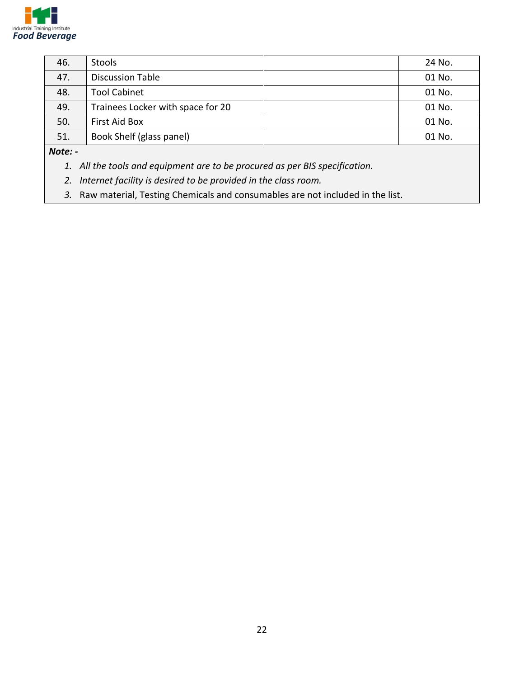

| 46. | <b>Stools</b>                     | 24 No. |
|-----|-----------------------------------|--------|
| 47. | <b>Discussion Table</b>           | 01 No. |
| 48. | <b>Tool Cabinet</b>               | 01 No. |
| 49. | Trainees Locker with space for 20 | 01 No. |
| 50. | <b>First Aid Box</b>              | 01 No. |
| 51. | Book Shelf (glass panel)          | 01 No. |

*Note: -*

*1. All the tools and equipment are to be procured as per BIS specification.* 

*2. Internet facility is desired to be provided in the class room.*

*3.* Raw material, Testing Chemicals and consumables are not included in the list.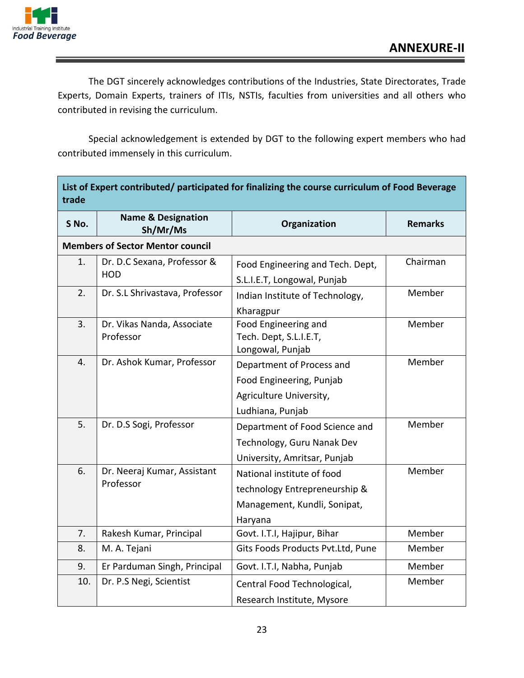

The DGT sincerely acknowledges contributions of the Industries, State Directorates, Trade Experts, Domain Experts, trainers of ITIs, NSTIs, faculties from universities and all others who contributed in revising the curriculum.

Special acknowledgement is extended by DGT to the following expert members who had contributed immensely in this curriculum.

| List of Expert contributed/ participated for finalizing the course curriculum of Food Beverage<br>trade |                                           |                                                                                                        |                |
|---------------------------------------------------------------------------------------------------------|-------------------------------------------|--------------------------------------------------------------------------------------------------------|----------------|
| S No.                                                                                                   | <b>Name &amp; Designation</b><br>Sh/Mr/Ms | Organization                                                                                           | <b>Remarks</b> |
|                                                                                                         | <b>Members of Sector Mentor council</b>   |                                                                                                        |                |
| 1.                                                                                                      | Dr. D.C Sexana, Professor &<br><b>HOD</b> | Food Engineering and Tech. Dept,<br>S.L.I.E.T, Longowal, Punjab                                        | Chairman       |
| 2.                                                                                                      | Dr. S.L Shrivastava, Professor            | Indian Institute of Technology,<br>Kharagpur                                                           | Member         |
| 3.                                                                                                      | Dr. Vikas Nanda, Associate<br>Professor   | Food Engineering and<br>Tech. Dept, S.L.I.E.T,<br>Longowal, Punjab                                     | Member         |
| 4.                                                                                                      | Dr. Ashok Kumar, Professor                | Department of Process and<br>Food Engineering, Punjab<br>Agriculture University,<br>Ludhiana, Punjab   | Member         |
| 5.                                                                                                      | Dr. D.S Sogi, Professor                   | Department of Food Science and<br>Technology, Guru Nanak Dev<br>University, Amritsar, Punjab           | Member         |
| 6.                                                                                                      | Dr. Neeraj Kumar, Assistant<br>Professor  | National institute of food<br>technology Entrepreneurship &<br>Management, Kundli, Sonipat,<br>Haryana | Member         |
| 7.                                                                                                      | Rakesh Kumar, Principal                   | Govt. I.T.I, Hajipur, Bihar                                                                            | Member         |
| 8.                                                                                                      | M. A. Tejani                              | Gits Foods Products Pvt.Ltd, Pune                                                                      | Member         |
| 9.                                                                                                      | Er Parduman Singh, Principal              | Govt. I.T.I, Nabha, Punjab                                                                             | Member         |
| 10.                                                                                                     | Dr. P.S Negi, Scientist                   | Central Food Technological,<br>Research Institute, Mysore                                              | Member         |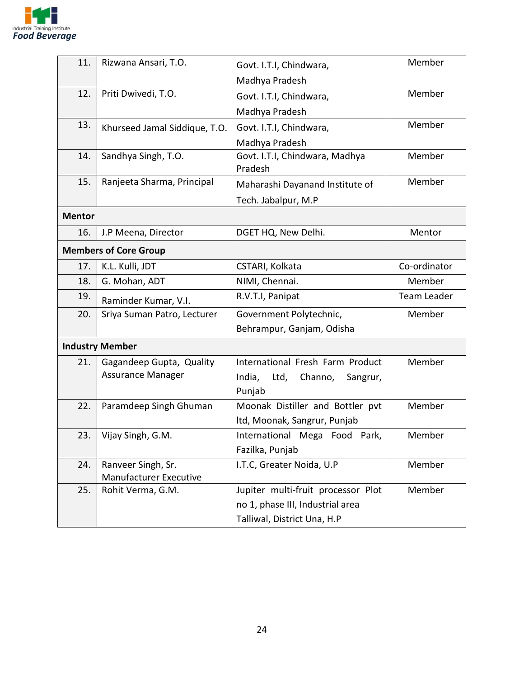

| 11.           | Rizwana Ansari, T.O.          | Govt. I.T.I, Chindwara,                   | Member       |
|---------------|-------------------------------|-------------------------------------------|--------------|
|               |                               | Madhya Pradesh                            |              |
| 12.           | Priti Dwivedi, T.O.           | Govt. I.T.I, Chindwara,                   | Member       |
|               |                               | Madhya Pradesh                            |              |
| 13.           | Khurseed Jamal Siddique, T.O. | Govt. I.T.I, Chindwara,                   | Member       |
|               |                               | Madhya Pradesh                            |              |
| 14.           | Sandhya Singh, T.O.           | Govt. I.T.I, Chindwara, Madhya<br>Pradesh | Member       |
| 15.           | Ranjeeta Sharma, Principal    | Maharashi Dayanand Institute of           | Member       |
|               |                               | Tech. Jabalpur, M.P                       |              |
| <b>Mentor</b> |                               |                                           |              |
| 16.           | J.P Meena, Director           | DGET HQ, New Delhi.                       | Mentor       |
|               | <b>Members of Core Group</b>  |                                           |              |
| 17.           | K.L. Kulli, JDT               | CSTARI, Kolkata                           | Co-ordinator |
| 18.           | G. Mohan, ADT                 | NIMI, Chennai.                            | Member       |
| 19.           | Raminder Kumar, V.I.          | R.V.T.I, Panipat                          | Team Leader  |
| 20.           | Sriya Suman Patro, Lecturer   | Government Polytechnic,                   | Member       |
|               |                               | Behrampur, Ganjam, Odisha                 |              |
|               | <b>Industry Member</b>        |                                           |              |
| 21.           | Gagandeep Gupta, Quality      | International Fresh Farm Product          | Member       |
|               | <b>Assurance Manager</b>      | India,<br>Ltd,<br>Channo,<br>Sangrur,     |              |
|               |                               | Punjab                                    |              |
| 22.           | Paramdeep Singh Ghuman        | Moonak Distiller and Bottler pvt          | Member       |
|               |                               | Itd, Moonak, Sangrur, Punjab              |              |
| 23.           | Vijay Singh, G.M.             | International Mega Food<br>Park,          | Member       |
|               |                               | Fazilka, Punjab                           |              |
| 24.           | Ranveer Singh, Sr.            | I.T.C, Greater Noida, U.P                 | Member       |
|               | <b>Manufacturer Executive</b> |                                           |              |
| 25.           | Rohit Verma, G.M.             | Jupiter multi-fruit processor Plot        | Member       |
|               |                               | no 1, phase III, Industrial area          |              |
|               |                               | Talliwal, District Una, H.P               |              |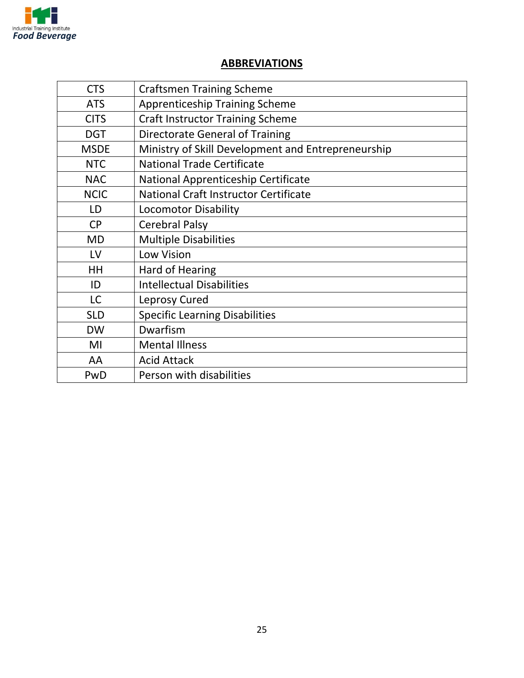

### **ABBREVIATIONS**

| <b>CTS</b>  | <b>Craftsmen Training Scheme</b>                   |
|-------------|----------------------------------------------------|
| <b>ATS</b>  | <b>Apprenticeship Training Scheme</b>              |
| <b>CITS</b> | <b>Craft Instructor Training Scheme</b>            |
| <b>DGT</b>  | <b>Directorate General of Training</b>             |
| <b>MSDE</b> | Ministry of Skill Development and Entrepreneurship |
| <b>NTC</b>  | <b>National Trade Certificate</b>                  |
| <b>NAC</b>  | National Apprenticeship Certificate                |
| <b>NCIC</b> | <b>National Craft Instructor Certificate</b>       |
| LD          | <b>Locomotor Disability</b>                        |
| <b>CP</b>   | <b>Cerebral Palsy</b>                              |
| <b>MD</b>   | <b>Multiple Disabilities</b>                       |
| LV          | Low Vision                                         |
| <b>HH</b>   | Hard of Hearing                                    |
| ID          | <b>Intellectual Disabilities</b>                   |
| <b>LC</b>   | Leprosy Cured                                      |
| <b>SLD</b>  | <b>Specific Learning Disabilities</b>              |
| <b>DW</b>   | Dwarfism                                           |
| MI          | <b>Mental Illness</b>                              |
| AA          | <b>Acid Attack</b>                                 |
| PwD         | Person with disabilities                           |